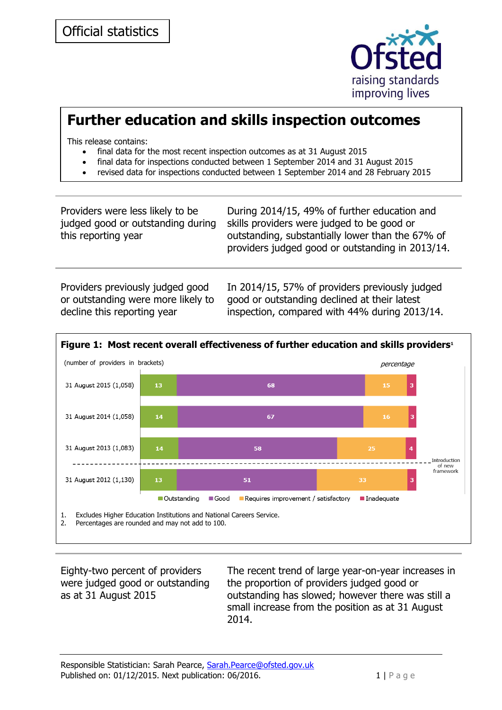

## **Further education and skills inspection outcomes**

This release contains:

- final data for the most recent inspection outcomes as at 31 August 2015
- final data for inspections conducted between 1 September 2014 and 31 August 2015
- revised data for inspections conducted between 1 September 2014 and 28 February 2015

| Providers were less likely to be  | During 2014/15, 49% of further education and                                                         |
|-----------------------------------|------------------------------------------------------------------------------------------------------|
| judged good or outstanding during | skills providers were judged to be good or                                                           |
| this reporting year               | outstanding, substantially lower than the 67% of<br>providers judged good or outstanding in 2013/14. |

Providers previously judged good or outstanding were more likely to decline this reporting year

In 2014/15, 57% of providers previously judged good or outstanding declined at their latest inspection, compared with 44% during 2013/14.



Eighty-two percent of providers were judged good or outstanding as at 31 August 2015

The recent trend of large year-on-year increases in the proportion of providers judged good or outstanding has slowed; however there was still a small increase from the position as at 31 August 2014.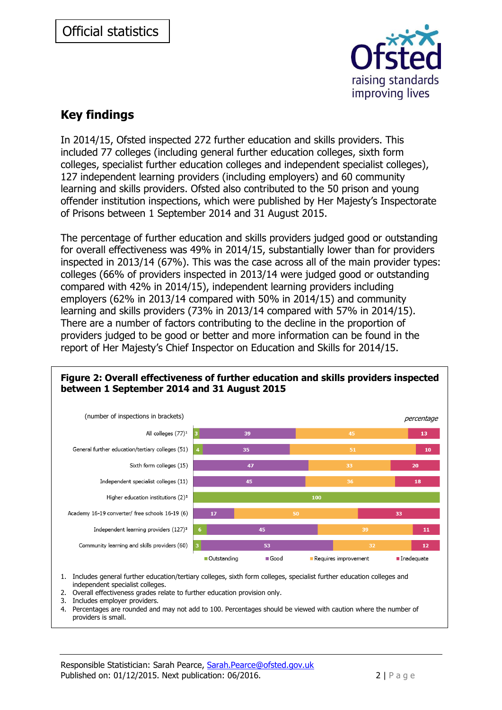

### **Key findings**

In 2014/15, Ofsted inspected 272 further education and skills providers. This included 77 colleges (including general further education colleges, sixth form colleges, specialist further education colleges and independent specialist colleges), 127 independent learning providers (including employers) and 60 community learning and skills providers. Ofsted also contributed to the 50 prison and young offender institution inspections, which were published by Her Majesty's Inspectorate of Prisons between 1 September 2014 and 31 August 2015.

The percentage of further education and skills providers judged good or outstanding for overall effectiveness was 49% in 2014/15, substantially lower than for providers inspected in 2013/14 (67%). This was the case across all of the main provider types: colleges (66% of providers inspected in 2013/14 were judged good or outstanding compared with 42% in 2014/15), independent learning providers including employers (62% in 2013/14 compared with 50% in 2014/15) and community learning and skills providers (73% in 2013/14 compared with 57% in 2014/15). There are a number of factors contributing to the decline in the proportion of providers judged to be good or better and more information can be found in the report of Her Majesty's Chief Inspector on Education and Skills for 2014/15.



# **Figure 2: Overall effectiveness of further education and skills providers inspected**

- 1. Includes general further education/tertiary colleges, sixth form colleges, specialist further education colleges and independent specialist colleges.
- 2. Overall effectiveness grades relate to further education provision only.
- 3. Includes employer providers.
- 4. Percentages are rounded and may not add to 100. Percentages should be viewed with caution where the number of providers is small.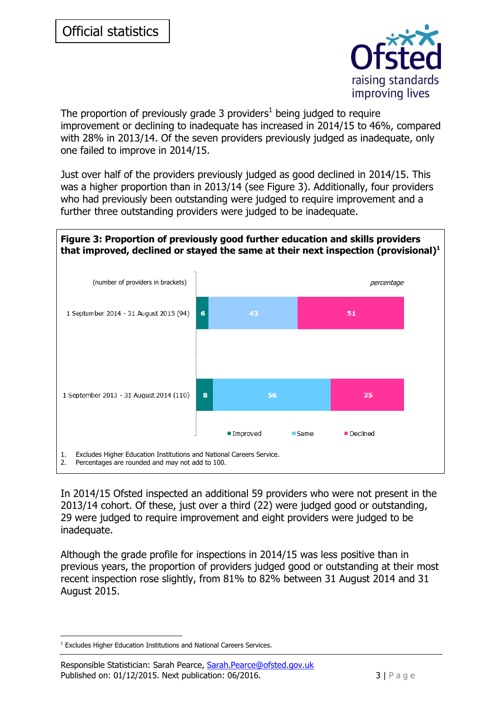

The proportion of previously grade 3 providers<sup>1</sup> being judged to require improvement or declining to inadequate has increased in 2014/15 to 46%, compared with 28% in 2013/14. Of the seven providers previously judged as inadequate, only one failed to improve in 2014/15.

Just over half of the providers previously judged as good declined in 2014/15. This was a higher proportion than in 2013/14 (see Figure 3). Additionally, four providers who had previously been outstanding were judged to require improvement and a further three outstanding providers were judged to be inadequate.



In 2014/15 Ofsted inspected an additional 59 providers who were not present in the 2013/14 cohort. Of these, just over a third (22) were judged good or outstanding, 29 were judged to require improvement and eight providers were judged to be inadequate.

Although the grade profile for inspections in 2014/15 was less positive than in previous years, the proportion of providers judged good or outstanding at their most recent inspection rose slightly, from 81% to 82% between 31 August 2014 and 31 August 2015.

-

<sup>&</sup>lt;sup>1</sup> Excludes Higher Education Institutions and National Careers Services.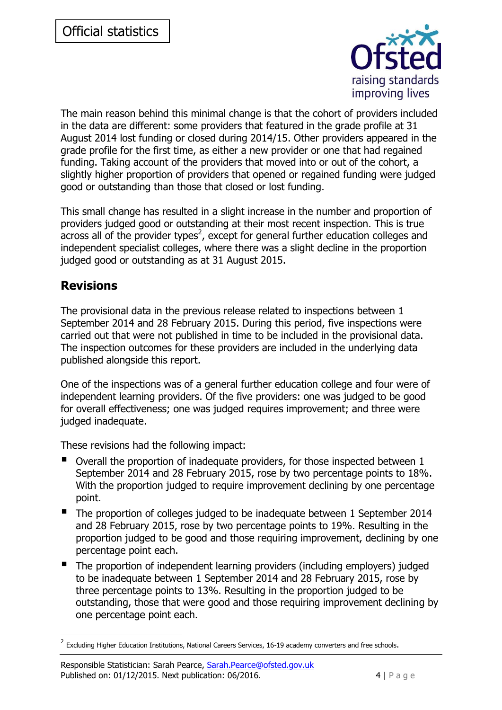

The main reason behind this minimal change is that the cohort of providers included in the data are different: some providers that featured in the grade profile at 31 August 2014 lost funding or closed during 2014/15. Other providers appeared in the grade profile for the first time, as either a new provider or one that had regained funding. Taking account of the providers that moved into or out of the cohort, a slightly higher proportion of providers that opened or regained funding were judged good or outstanding than those that closed or lost funding.

This small change has resulted in a slight increase in the number and proportion of providers judged good or outstanding at their most recent inspection. This is true  $\alpha$  across all of the provider types<sup>2</sup>, except for general further education colleges and independent specialist colleges, where there was a slight decline in the proportion judged good or outstanding as at 31 August 2015.

#### **Revisions**

-

The provisional data in the previous release related to inspections between 1 September 2014 and 28 February 2015. During this period, five inspections were carried out that were not published in time to be included in the provisional data. The inspection outcomes for these providers are included in the underlying data published alongside this report.

One of the inspections was of a general further education college and four were of independent learning providers. Of the five providers: one was judged to be good for overall effectiveness; one was judged requires improvement; and three were judged inadequate.

These revisions had the following impact:

- Overall the proportion of inadequate providers, for those inspected between 1 September 2014 and 28 February 2015, rose by two percentage points to 18%. With the proportion judged to require improvement declining by one percentage point.
- The proportion of colleges judged to be inadequate between 1 September 2014 and 28 February 2015, rose by two percentage points to 19%. Resulting in the proportion judged to be good and those requiring improvement, declining by one percentage point each.
- The proportion of independent learning providers (including employers) judged to be inadequate between 1 September 2014 and 28 February 2015, rose by three percentage points to 13%. Resulting in the proportion judged to be outstanding, those that were good and those requiring improvement declining by one percentage point each.

 $^2$  Excluding Higher Education Institutions, National Careers Services, 16-19 academy converters and free schools.